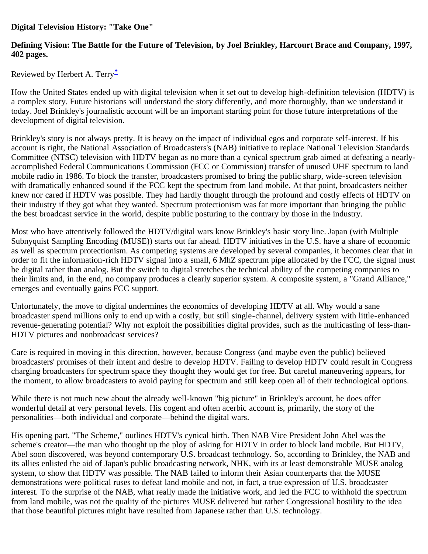**Digital Television History: "Take One"**

## **Defining Vision: The Battle for the Future of Television, by Joel Brinkley, Harcourt Brace and Company, 1997, 402 pages.**

Reviewed by Herbert A. Terry**[\\*](#page-2-0)**

How the United States ended up with digital television when it set out to develop high-definition television (HDTV) is a complex story. Future historians will understand the story differently, and more thoroughly, than we understand it today. Joel Brinkley's journalistic account will be an important starting point for those future interpretations of the development of digital television.

Brinkley's story is not always pretty. It is heavy on the impact of individual egos and corporate self-interest. If his account is right, the National Association of Broadcasters's (NAB) initiative to replace National Television Standards Committee (NTSC) television with HDTV began as no more than a cynical spectrum grab aimed at defeating a nearlyaccomplished Federal Communications Commission (FCC or Commission) transfer of unused UHF spectrum to land mobile radio in 1986. To block the transfer, broadcasters promised to bring the public sharp, wide-screen television with dramatically enhanced sound if the FCC kept the spectrum from land mobile. At that point, broadcasters neither knew nor cared if HDTV was possible. They had hardly thought through the profound and costly effects of HDTV on their industry if they got what they wanted. Spectrum protectionism was far more important than bringing the public the best broadcast service in the world, despite public posturing to the contrary by those in the industry.

Most who have attentively followed the HDTV/digital wars know Brinkley's basic story line. Japan (with Multiple Subnyquist Sampling Encoding (MUSE)) starts out far ahead. HDTV initiatives in the U.S. have a share of economic as well as spectrum protectionism. As competing systems are developed by several companies, it becomes clear that in order to fit the information-rich HDTV signal into a small, 6 MhZ spectrum pipe allocated by the FCC, the signal must be digital rather than analog. But the switch to digital stretches the technical ability of the competing companies to their limits and, in the end, no company produces a clearly superior system. A composite system, a "Grand Alliance," emerges and eventually gains FCC support.

Unfortunately, the move to digital undermines the economics of developing HDTV at all. Why would a sane broadcaster spend millions only to end up with a costly, but still single-channel, delivery system with little-enhanced revenue-generating potential? Why not exploit the possibilities digital provides, such as the multicasting of less-than-HDTV pictures and nonbroadcast services?

Care is required in moving in this direction, however, because Congress (and maybe even the public) believed broadcasters' promises of their intent and desire to develop HDTV. Failing to develop HDTV could result in Congress charging broadcasters for spectrum space they thought they would get for free. But careful maneuvering appears, for the moment, to allow broadcasters to avoid paying for spectrum and still keep open all of their technological options.

While there is not much new about the already well-known "big picture" in Brinkley's account, he does offer wonderful detail at very personal levels. His cogent and often acerbic account is, primarily, the story of the personalities—both individual and corporate—behind the digital wars.

His opening part, "The Scheme," outlines HDTV's cynical birth. Then NAB Vice President John Abel was the scheme's creator—the man who thought up the ploy of asking for HDTV in order to block land mobile. But HDTV, Abel soon discovered, was beyond contemporary U.S. broadcast technology. So, according to Brinkley, the NAB and its allies enlisted the aid of Japan's public broadcasting network, NHK, with its at least demonstrable MUSE analog system, to show that HDTV was possible. The NAB failed to inform their Asian counterparts that the MUSE demonstrations were political ruses to defeat land mobile and not, in fact, a true expression of U.S. broadcaster interest. To the surprise of the NAB, what really made the initiative work, and led the FCC to withhold the spectrum from land mobile, was not the quality of the pictures MUSE delivered but rather Congressional hostility to the idea that those beautiful pictures might have resulted from Japanese rather than U.S. technology.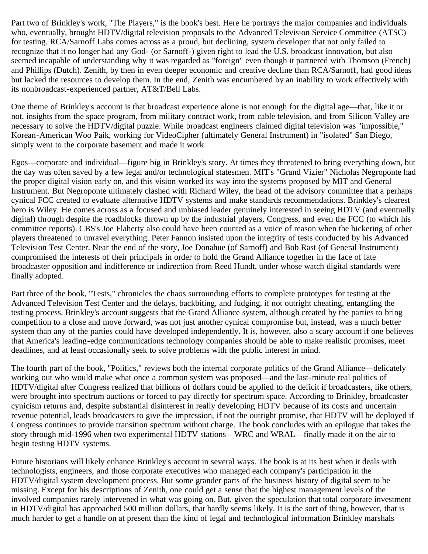Part two of Brinkley's work, "The Players," is the book's best. Here he portrays the major companies and individuals who, eventually, brought HDTV/digital television proposals to the Advanced Television Service Committee (ATSC) for testing. RCA/Sarnoff Labs comes across as a proud, but declining, system developer that not only failed to recognize that it no longer had any God- (or Sarnoff-) given right to lead the U.S. broadcast innovation, but also seemed incapable of understanding why it was regarded as "foreign" even though it partnered with Thomson (French) and Phillips (Dutch). Zenith, by then in even deeper economic and creative decline than RCA/Sarnoff, had good ideas but lacked the resources to develop them. In the end, Zenith was encumbered by an inability to work effectively with its nonbroadcast-experienced partner, AT&T/Bell Labs.

One theme of Brinkley's account is that broadcast experience alone is not enough for the digital age—that, like it or not, insights from the space program, from military contract work, from cable television, and from Silicon Valley are necessary to solve the HDTV/digital puzzle. While broadcast engineers claimed digital television was "impossible," Korean-American Woo Paik, working for VideoCipher (ultimately General Instrument) in "isolated" San Diego, simply went to the corporate basement and made it work.

Egos—corporate and individual—figure big in Brinkley's story. At times they threatened to bring everything down, but the day was often saved by a few legal and/or technological statesmen. MIT's "Grand Vizier" Nicholas Negroponte had the proper digital vision early on, and this vision worked its way into the systems proposed by MIT and General Instrument. But Negroponte ultimately clashed with Richard Wiley, the head of the advisory committee that a perhaps cynical FCC created to evaluate alternative HDTV systems and make standards recommendations. Brinkley's clearest hero is Wiley. He comes across as a focused and unbiased leader genuinely interested in seeing HDTV (and eventually digital) through despite the roadblocks thrown up by the industrial players, Congress, and even the FCC (to which his committee reports). CBS's Joe Flaherty also could have been counted as a voice of reason when the bickering of other players threatened to unravel everything. Peter Fannon insisted upon the integrity of tests conducted by his Advanced Television Test Center. Near the end of the story, Joe Donahue (of Sarnoff) and Bob Rast (of General Instrument) compromised the interests of their principals in order to hold the Grand Alliance together in the face of late broadcaster opposition and indifference or indirection from Reed Hundt, under whose watch digital standards were finally adopted.

Part three of the book, "Tests," chronicles the chaos surrounding efforts to complete prototypes for testing at the Advanced Television Test Center and the delays, backbiting, and fudging, if not outright cheating, entangling the testing process. Brinkley's account suggests that the Grand Alliance system, although created by the parties to bring competition to a close and move forward, was not just another cynical compromise but, instead, was a much better system than any of the parties could have developed independently. It is, however, also a scary account if one believes that America's leading-edge communications technology companies should be able to make realistic promises, meet deadlines, and at least occasionally seek to solve problems with the public interest in mind.

The fourth part of the book, "Politics," reviews both the internal corporate politics of the Grand Alliance—delicately working out who would make what once a common system was proposed—and the last-minute real politics of HDTV/digital after Congress realized that billions of dollars could be applied to the deficit if broadcasters, like others, were brought into spectrum auctions or forced to pay directly for spectrum space. According to Brinkley, broadcaster cynicism returns and, despite substantial disinterest in really developing HDTV because of its costs and uncertain revenue potential, leads broadcasters to give the impression, if not the outright promise, that HDTV will be deployed if Congress continues to provide transition spectrum without charge. The book concludes with an epilogue that takes the story through mid-1996 when two experimental HDTV stations—WRC and WRAL—finally made it on the air to begin testing HDTV systems.

Future historians will likely enhance Brinkley's account in several ways. The book is at its best when it deals with technologists, engineers, and those corporate executives who managed each company's participation in the HDTV/digital system development process. But some grander parts of the business history of digital seem to be missing. Except for his descriptions of Zenith, one could get a sense that the highest management levels of the involved companies rarely intervened in what was going on. But, given the speculation that total corporate investment in HDTV/digital has approached 500 million dollars, that hardly seems likely. It is the sort of thing, however, that is much harder to get a handle on at present than the kind of legal and technological information Brinkley marshals